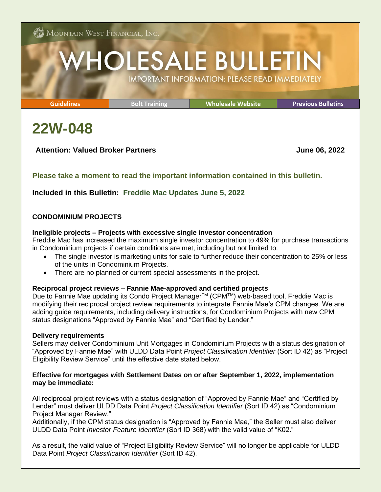# **HOLESALE BULLETIN IMPORTANT INFORMATION: PLEASE READ IMMEDIATELY**

**[Guidelines](http://www.mwfwholesale.com/index.php/product-guidelines) [Bolt Training](http://www.mwfwholesale.com/index.php/bolt/how-to-s-pdf-s) [Wholesale Website](http://www.mwfwholesale.com/) [Previous Bulletins](http://www.mwfwholesale.com/index.php/bulletins)**

## **22W-048**

## **Attention: Valued Broker Partners June 06, 2022**

## **Please take a moment to read the important information contained in this bulletin.**

## **Included in this Bulletin: Freddie Mac Updates June 5, 2022**

## **CONDOMINIUM PROJECTS**

#### **Ineligible projects – Projects with excessive single investor concentration**

Freddie Mac has increased the maximum single investor concentration to 49% for purchase transactions in Condominium projects if certain conditions are met, including but not limited to:

- The single investor is marketing units for sale to further reduce their concentration to 25% or less of the units in Condominium Projects.
- There are no planned or current special assessments in the project.

## **Reciprocal project reviews – Fannie Mae-approved and certified projects**

Due to Fannie Mae updating its Condo Project Manager<sup>™</sup> (CPM™) web-based tool, Freddie Mac is modifying their reciprocal project review requirements to integrate Fannie Mae's CPM changes. We are adding guide requirements, including delivery instructions, for Condominium Projects with new CPM status designations "Approved by Fannie Mae" and "Certified by Lender."

## **Delivery requirements**

Sellers may deliver Condominium Unit Mortgages in Condominium Projects with a status designation of "Approved by Fannie Mae" with ULDD Data Point *Project Classification Identifier* (Sort ID 42) as "Project Eligibility Review Service" until the effective date stated below.

## **Effective for mortgages with Settlement Dates on or after September 1, 2022, implementation may be immediate:**

All reciprocal project reviews with a status designation of "Approved by Fannie Mae" and "Certified by Lender" must deliver ULDD Data Point *Project Classification Identifier* (Sort ID 42) as "Condominium Project Manager Review."

Additionally, if the CPM status designation is "Approved by Fannie Mae," the Seller must also deliver ULDD Data Point *Investor Feature Identifier* (Sort ID 368) with the valid value of "K02."

As a result, the valid value of "Project Eligibility Review Service" will no longer be applicable for ULDD Data Point *Project Classification Identifier* (Sort ID 42).